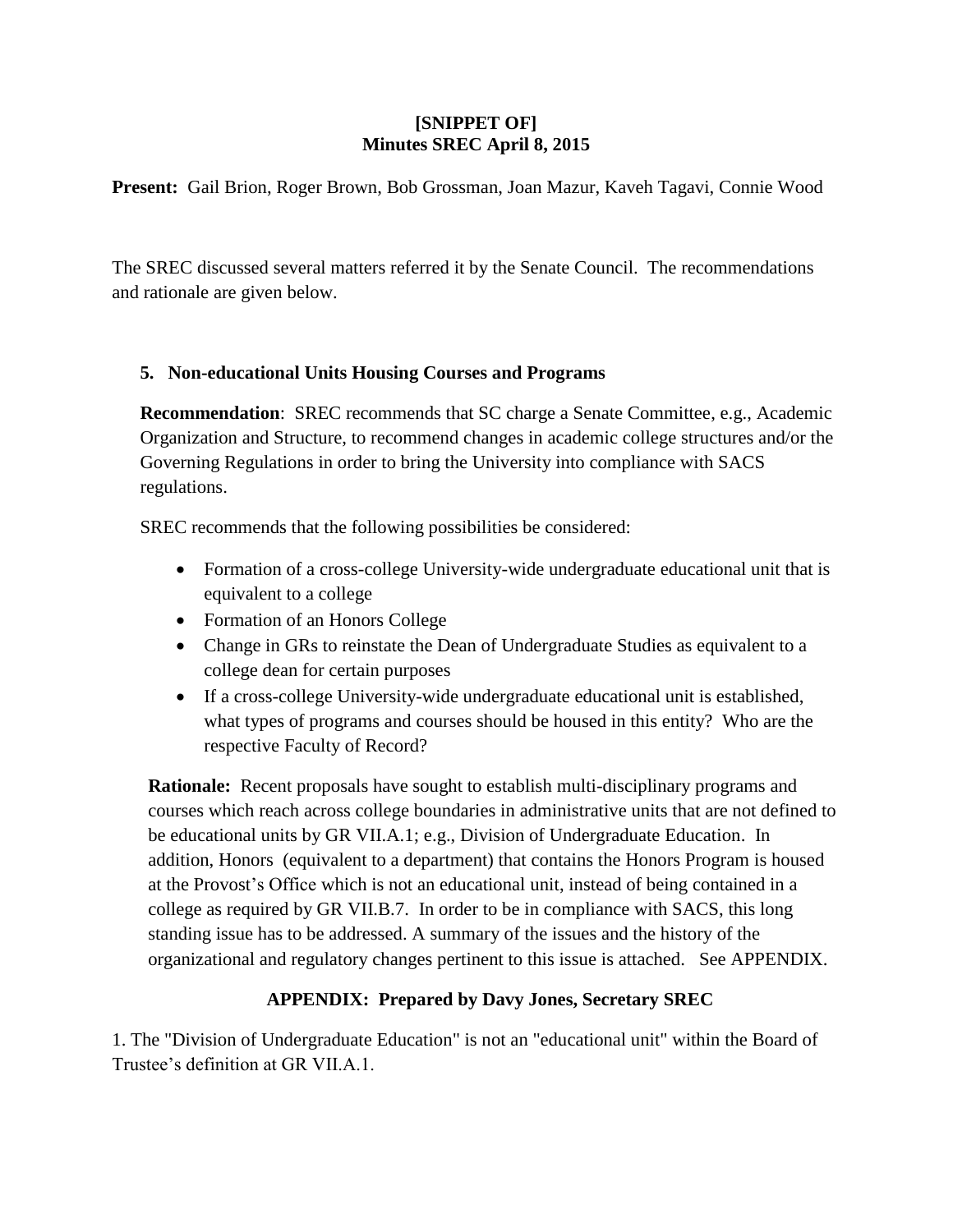## **[SNIPPET OF] Minutes SREC April 8, 2015**

**Present:** Gail Brion, Roger Brown, Bob Grossman, Joan Mazur, Kaveh Tagavi, Connie Wood

The SREC discussed several matters referred it by the Senate Council. The recommendations and rationale are given below.

## **5. Non-educational Units Housing Courses and Programs**

**Recommendation**: SREC recommends that SC charge a Senate Committee, e.g., Academic Organization and Structure, to recommend changes in academic college structures and/or the Governing Regulations in order to bring the University into compliance with SACS regulations.

SREC recommends that the following possibilities be considered:

- Formation of a cross-college University-wide undergraduate educational unit that is equivalent to a college
- Formation of an Honors College
- Change in GRs to reinstate the Dean of Undergraduate Studies as equivalent to a college dean for certain purposes
- If a cross-college University-wide undergraduate educational unit is established, what types of programs and courses should be housed in this entity? Who are the respective Faculty of Record?

**Rationale:** Recent proposals have sought to establish multi-disciplinary programs and courses which reach across college boundaries in administrative units that are not defined to be educational units by GR VII.A.1; e.g., Division of Undergraduate Education. In addition, Honors (equivalent to a department) that contains the Honors Program is housed at the Provost's Office which is not an educational unit, instead of being contained in a college as required by GR VII.B.7. In order to be in compliance with SACS, this long standing issue has to be addressed. A summary of the issues and the history of the organizational and regulatory changes pertinent to this issue is attached. See APPENDIX.

## **APPENDIX: Prepared by Davy Jones, Secretary SREC**

1. The "Division of Undergraduate Education" is not an "educational unit" within the Board of Trustee's definition at GR VII A 1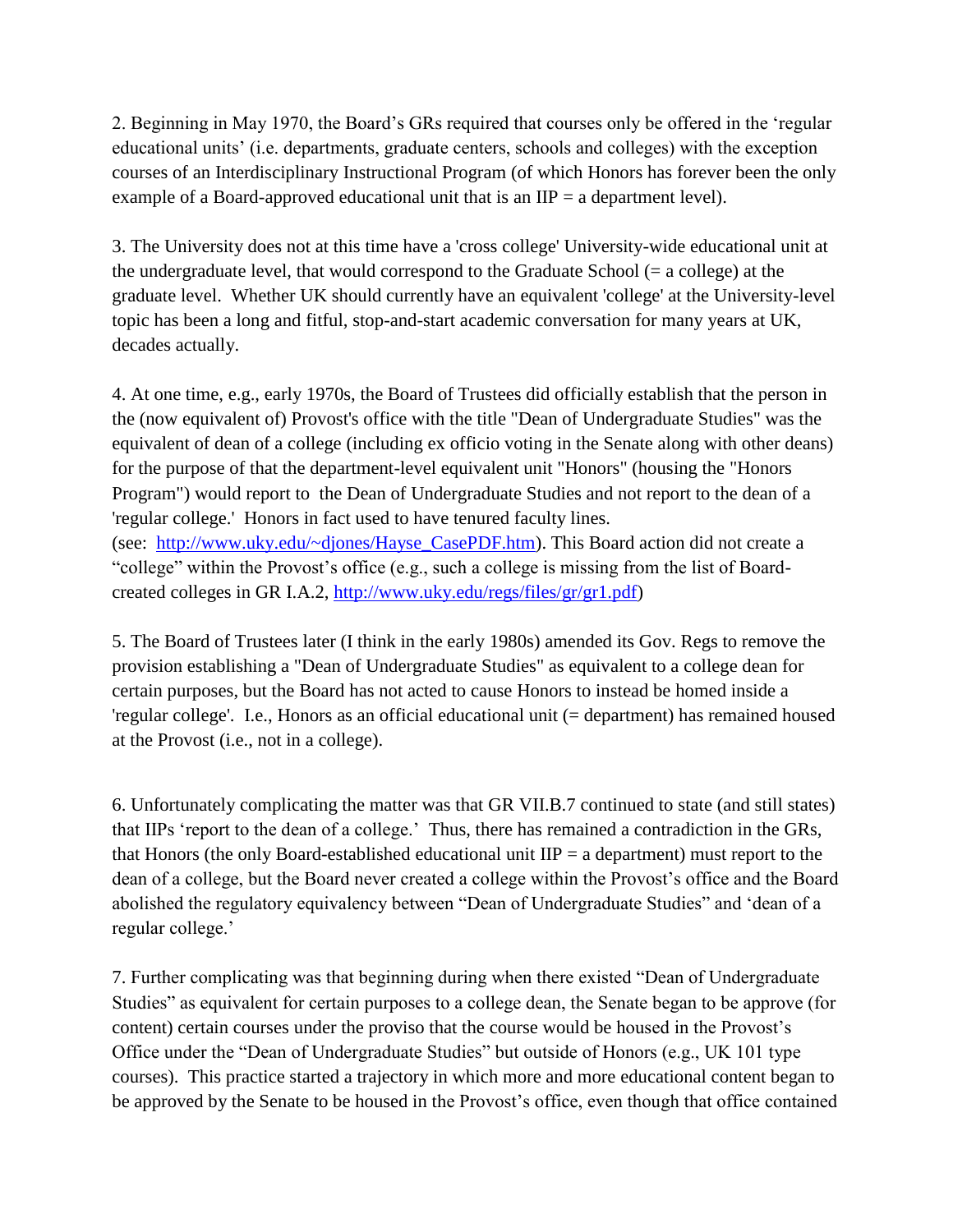2. Beginning in May 1970, the Board's GRs required that courses only be offered in the 'regular educational units' (i.e. departments, graduate centers, schools and colleges) with the exception courses of an Interdisciplinary Instructional Program (of which Honors has forever been the only example of a Board-approved educational unit that is an  $\text{HP} = \text{a}$  department level).

3. The University does not at this time have a 'cross college' University-wide educational unit at the undergraduate level, that would correspond to the Graduate School (= a college) at the graduate level. Whether UK should currently have an equivalent 'college' at the University-level topic has been a long and fitful, stop-and-start academic conversation for many years at UK, decades actually.

4. At one time, e.g., early 1970s, the Board of Trustees did officially establish that the person in the (now equivalent of) Provost's office with the title "Dean of Undergraduate Studies" was the equivalent of dean of a college (including ex officio voting in the Senate along with other deans) for the purpose of that the department-level equivalent unit "Honors" (housing the "Honors Program") would report to the Dean of Undergraduate Studies and not report to the dean of a 'regular college.' Honors in fact used to have tenured faculty lines. (see: [http://www.uky.edu/~djones/Hayse\\_CasePDF.htm\)](http://www.uky.edu/~djones/Hayse_CasePDF.htm). This Board action did not create a "college" within the Provost's office (e.g., such a college is missing from the list of Boardcreated colleges in GR I.A.2, [http://www.uky.edu/regs/files/gr/gr1.pdf\)](http://www.uky.edu/regs/files/gr/gr1.pdf)

5. The Board of Trustees later (I think in the early 1980s) amended its Gov. Regs to remove the provision establishing a "Dean of Undergraduate Studies" as equivalent to a college dean for certain purposes, but the Board has not acted to cause Honors to instead be homed inside a 'regular college'. I.e., Honors as an official educational unit (= department) has remained housed at the Provost (i.e., not in a college).

6. Unfortunately complicating the matter was that GR VII.B.7 continued to state (and still states) that IIPs 'report to the dean of a college.' Thus, there has remained a contradiction in the GRs, that Honors (the only Board-established educational unit  $IIP = a$  department) must report to the dean of a college, but the Board never created a college within the Provost's office and the Board abolished the regulatory equivalency between "Dean of Undergraduate Studies" and 'dean of a regular college.'

7. Further complicating was that beginning during when there existed "Dean of Undergraduate Studies" as equivalent for certain purposes to a college dean, the Senate began to be approve (for content) certain courses under the proviso that the course would be housed in the Provost's Office under the "Dean of Undergraduate Studies" but outside of Honors (e.g., UK 101 type courses). This practice started a trajectory in which more and more educational content began to be approved by the Senate to be housed in the Provost's office, even though that office contained